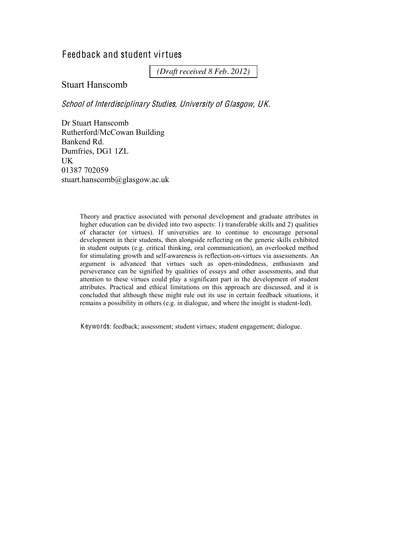# Feedback and student virtues

*(Draft received 8 Feb. 2012)*

## Stuart Hanscomb

School <sup>o</sup>f Interdisciplinary Studies, University <sup>o</sup>f Glasgow, UK.

Dr Stuart Hanscomb Rutherford/McCowan Building Bankend Rd. Dumfries, DG1 1ZL UK 01387 702059 stuart.hanscomb@glasgow.ac.uk

> Theory and practice associated with personal development and graduate attributes in higher education can be divided into two aspects: 1) transferable skills and 2) qualities of character (or virtues). If universities are to continue to encourage personal development in their students, then alongside reflecting on the generic skills exhibited in student outputs (e.g. critical thinking, oral communication), an overlooked method for stimulating growth and self-awareness is reflection-on-virtues via assessments. An argument is advanced that virtues such as open-mindedness, enthusiasm and perseverance can be signified by qualities of essays and other assessments, and that attention to these virtues could play a significant part in the development of student attributes. Practical and ethical limitations on this approach are discussed, and it is concluded that although these might rule out its use in certain feedback situations, it remains a possibility in others (e.g. in dialogue, and where the insight is student-led).

Keywords: feedback; assessment; student virtues; student engagement; dialogue.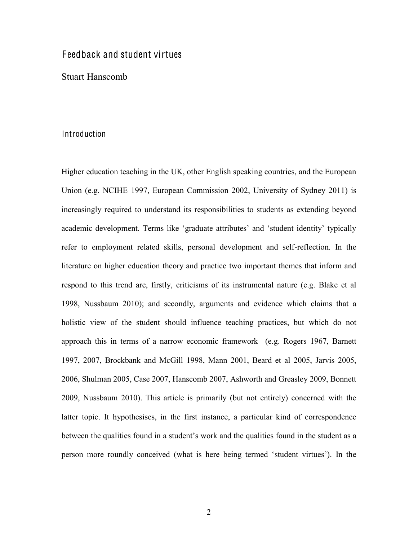# Feedback and student virtues

Stuart Hanscomb

### Introduction

Higher education teaching in the UK, other English speaking countries, and the European Union (e.g. NCIHE 1997, European Commission 2002, University of Sydney 2011) is increasingly required to understand its responsibilities to students as extending beyond academic development. Terms like 'graduate attributes' and 'student identity' typically refer to employment related skills, personal development and self-reflection. In the literature on higher education theory and practice two important themes that inform and respond to this trend are, firstly, criticisms of its instrumental nature (e.g. Blake et al 1998, Nussbaum 2010); and secondly, arguments and evidence which claims that a holistic view of the student should influence teaching practices, but which do not approach this in terms of a narrow economic framework (e.g. Rogers 1967, Barnett 1997, 2007, Brockbank and McGill 1998, Mann 2001, Beard et al 2005, Jarvis 2005, 2006, Shulman 2005, Case 2007, Hanscomb 2007, Ashworth and Greasley 2009, Bonnett 2009, Nussbaum 2010). This article is primarily (but not entirely) concerned with the latter topic. It hypothesises, in the first instance, a particular kind of correspondence between the qualities found in a student's work and the qualities found in the student as a person more roundly conceived (what is here being termed 'student virtues'). In the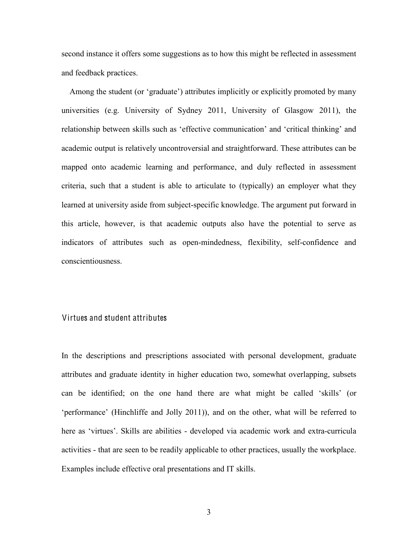second instance it offers some suggestions as to how this might be reflected in assessment and feedback practices.

Among the student (or 'graduate') attributes implicitly or explicitly promoted by many universities (e.g. University of Sydney 2011, University of Glasgow 2011), the relationship between skills such as 'effective communication' and 'critical thinking' and academic output is relatively uncontroversial and straightforward. These attributes can be mapped onto academic learning and performance, and duly reflected in assessment criteria, such that a student is able to articulate to (typically) an employer what they learned at university aside from subject-specific knowledge. The argument put forward in this article, however, is that academic outputs also have the potential to serve as indicators of attributes such as open-mindedness, flexibility, self-confidence and conscientiousness.

## Virtues and student attributes

In the descriptions and prescriptions associated with personal development, graduate attributes and graduate identity in higher education two, somewhat overlapping, subsets can be identified; on the one hand there are what might be called 'skills' (or 'performance' (Hinchliffe and Jolly 2011)), and on the other, what will be referred to here as 'virtues'. Skills are abilities - developed via academic work and extra-curricula activities - that are seen to be readily applicable to other practices, usually the workplace. Examples include effective oral presentations and IT skills.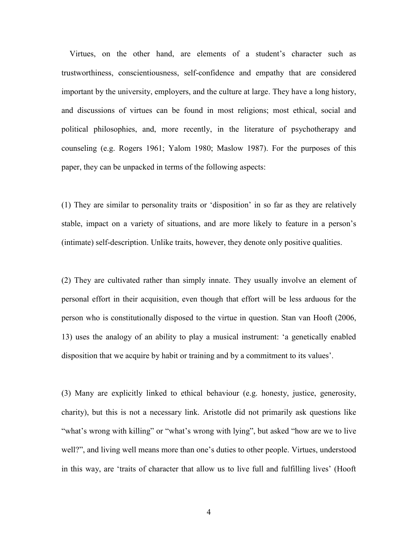Virtues, on the other hand, are elements of a student's character such as trustworthiness, conscientiousness, self-confidence and empathy that are considered important by the university, employers, and the culture at large. They have a long history, and discussions of virtues can be found in most religions; most ethical, social and political philosophies, and, more recently, in the literature of psychotherapy and counseling (e.g. Rogers 1961; Yalom 1980; Maslow 1987). For the purposes of this paper, they can be unpacked in terms of the following aspects:

(1) They are similar to personality traits or 'disposition' in so far as they are relatively stable, impact on a variety of situations, and are more likely to feature in a person's (intimate) self-description. Unlike traits, however, they denote only positive qualities.

(2) They are cultivated rather than simply innate. They usually involve an element of personal effort in their acquisition, even though that effort will be less arduous for the person who is constitutionally disposed to the virtue in question. Stan van Hooft (2006, 13) uses the analogy of an ability to play a musical instrument: 'a genetically enabled disposition that we acquire by habit or training and by a commitment to its values'.

(3) Many are explicitly linked to ethical behaviour (e.g. honesty, justice, generosity, charity), but this is not a necessary link. Aristotle did not primarily ask questions like "what's wrong with killing" or "what's wrong with lying", but asked "how are we to live well?", and living well means more than one's duties to other people. Virtues, understood in this way, are 'traits of character that allow us to live full and fulfilling lives' (Hooft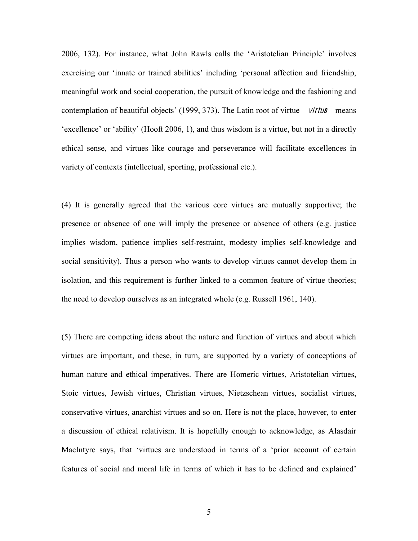2006, 132). For instance, what John Rawls calls the 'Aristotelian Principle' involves exercising our 'innate or trained abilities' including 'personal affection and friendship, meaningful work and social cooperation, the pursuit of knowledge and the fashioning and contemplation of beautiful objects' (1999, 373). The Latin root of virtue  $-$  *virtus* – means  $'$ excellence' or  $'$ ability' (Hooft 2006, 1), and thus wisdom is a virtue, but not in a directly ethical sense, and virtues like courage and perseverance will facilitate excellences in variety of contexts (intellectual, sporting, professional etc.).

(4) It is generally agreed that the various core virtues are mutually supportive; the presence or absence of one will imply the presence or absence of others (e.g. justice implies wisdom, patience implies self-restraint, modesty implies self-knowledge and social sensitivity). Thus a person who wants to develop virtues cannot develop them in isolation, and this requirement is further linked to a common feature of virtue theories; the need to develop ourselves as an integrated whole (e.g. Russell 1961, 140).

(5) There are competing ideas about the nature and function of virtues and about which virtues are important, and these, in turn, are supported by a variety of conceptions of human nature and ethical imperatives. There are Homeric virtues, Aristotelian virtues, Stoic virtues, Jewish virtues, Christian virtues, Nietzschean virtues, socialist virtues, conservative virtues, anarchist virtues and so on. Here is not the place, however, to enter a discussion of ethical relativism. It is hopefully enough to acknowledge, as Alasdair MacIntyre says, that 'virtues are understood in terms of a 'prior account of certain features of social and moral life in terms of which it has to be defined and explained'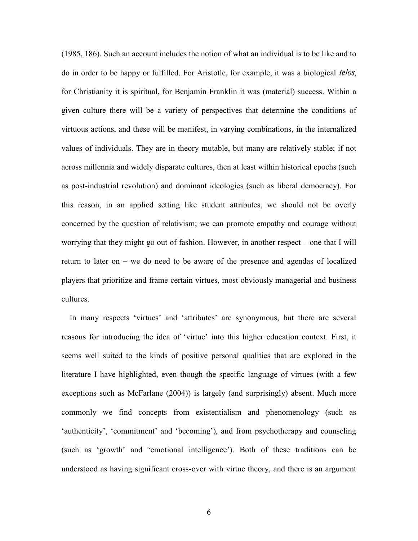(1985, 186). Such an account includes the notion of what an individual is to be like and to do in order to be happy or fulfilled. For Aristotle, for example, it was a biological *telos*, for Christianity it is spiritual, for Benjamin Franklin it was (material) success. Within a given culture there will be a variety of perspectives that determine the conditions of virtuous actions, and these will be manifest, in varying combinations, in the internalized values of individuals. They are in theory mutable, but many are relatively stable; if not across millennia and widely disparate cultures, then at least within historical epochs (such as post-industrial revolution) and dominant ideologies (such as liberal democracy). For this reason, in an applied setting like student attributes, we should not be overly concerned by the question of relativism; we can promote empathy and courage without worrying that they might go out of fashion. However, in another respect  $-$  one that I will return to later on  $-$  we do need to be aware of the presence and agendas of localized players that prioritize and frame certain virtues, most obviously managerial and business cultures.

In many respects 'virtues' and 'attributes' are synonymous, but there are several reasons for introducing the idea of 'virtue' into this higher education context. First, it seems well suited to the kinds of positive personal qualities that are explored in the literature I have highlighted, even though the specific language of virtues (with a few exceptions such as McFarlane (2004)) is largely (and surprisingly) absent. Much more commonly we find concepts from existentialism and phenomenology (such as 'authenticity', 'commitment' and 'becoming'), and from psychotherapy and counseling (such as 'growth' and 'emotional intelligence'). Both of these traditions can be understood as having significant cross-over with virtue theory, and there is an argument

6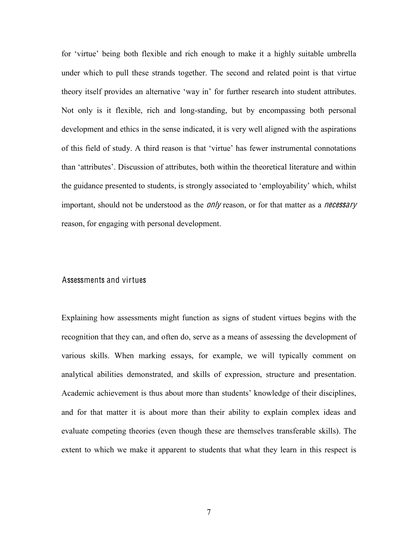for 'virtue' being both flexible and rich enough to make it a highly suitable umbrella under which to pull these strands together. The second and related point is that virtue theory itself provides an alternative 'way in' for further research into student attributes. Not only is it flexible, rich and long-standing, but by encompassing both personal development and ethics in the sense indicated, it is very well aligned with the aspirations of this field of study. A third reason is that 'virtue' has fewer instrumental connotations than 'attributes'. Discussion of attributes, both within the theoretical literature and within the guidance presented to students, is strongly associated to 'employability' which, whilst important, should not be understood as the *only* reason, or for that matter as a *necessary* reason, for engaging with personal development.

### Assessments and virtues

Explaining how assessments might function as signs of student virtues begins with the recognition that they can, and often do, serve as a means of assessing the development of various skills. When marking essays, for example, we will typically comment on analytical abilities demonstrated, and skills of expression, structure and presentation. Academic achievement is thus about more than students' knowledge of their disciplines, and for that matter it is about more than their ability to explain complex ideas and evaluate competing theories (even though these are themselves transferable skills). The extent to which we make it apparent to students that what they learn in this respect is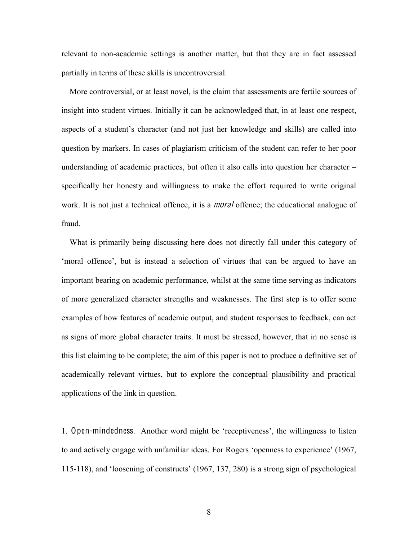relevant to non-academic settings is another matter, but that they are in fact assessed partially in terms of these skills is uncontroversial.

 More controversial, or at least novel, is the claim that assessments are fertile sources of insight into student virtues. Initially it can be acknowledged that, in at least one respect, aspects of a student's character (and not just her knowledge and skills) are called into question by markers. In cases of plagiarism criticism of the student can refer to her poor understanding of academic practices, but often it also calls into question her character  $$ specifically her honesty and willingness to make the effort required to write original work. It is not just a technical offence, it is a *moral* offence; the educational analogue of fraud.

 What is primarily being discussing here does not directly fall under this category of 'moral offence', but is instead a selection of virtues that can be argued to have an important bearing on academic performance, whilst at the same time serving as indicators of more generalized character strengths and weaknesses. The first step is to offer some examples of how features of academic output, and student responses to feedback, can act as signs of more global character traits. It must be stressed, however, that in no sense is this list claiming to be complete; the aim of this paper is not to produce a definitive set of academically relevant virtues, but to explore the conceptual plausibility and practical applications of the link in question.

1. Open-mindedness. Another word might be 'receptiveness', the willingness to listen to and actively engage with unfamiliar ideas. For Rogers 'openness to experience' (1967, 115-118), and 'loosening of constructs'  $(1967, 137, 280)$  is a strong sign of psychological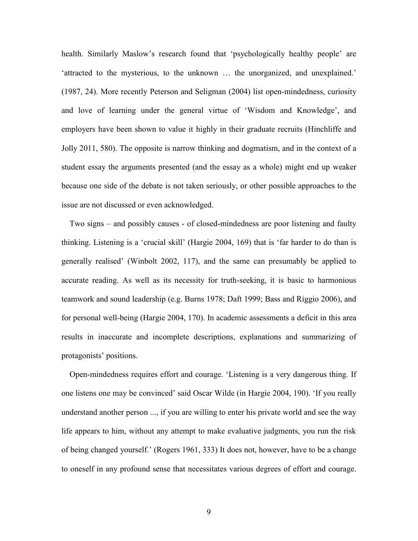health. Similarly Maslow's research found that 'psychologically healthy people' are 'attracted to the mysterious, to the unknown ... the unorganized, and unexplained.' (1987, 24). More recently Peterson and Seligman (2004) list open-mindedness, curiosity and love of learning under the general virtue of 'Wisdom and Knowledge', and employers have been shown to value it highly in their graduate recruits (Hinchliffe and Jolly 2011, 580). The opposite is narrow thinking and dogmatism, and in the context of a student essay the arguments presented (and the essay as a whole) might end up weaker because one side of the debate is not taken seriously, or other possible approaches to the issue are not discussed or even acknowledged.

Two signs – and possibly causes - of closed-mindedness are poor listening and faulty thinking. Listening is a 'crucial skill' (Hargie 2004, 169) that is 'far harder to do than is generally realised' (Winbolt 2002, 117), and the same can presumably be applied to accurate reading. As well as its necessity for truth-seeking, it is basic to harmonious teamwork and sound leadership (e.g. Burns 1978; Daft 1999; Bass and Riggio 2006), and for personal well-being (Hargie 2004, 170). In academic assessments a deficit in this area results in inaccurate and incomplete descriptions, explanations and summarizing of protagonists' positions.

Open-mindedness requires effort and courage. 'Listening is a very dangerous thing. If one listens one may be convinced' said Oscar Wilde (in Hargie 2004, 190). 'If you really understand another person ..., if you are willing to enter his private world and see the way life appears to him, without any attempt to make evaluative judgments, you run the risk of being changed yourself.' (Rogers 1961, 333) It does not, however, have to be a change to oneself in any profound sense that necessitates various degrees of effort and courage.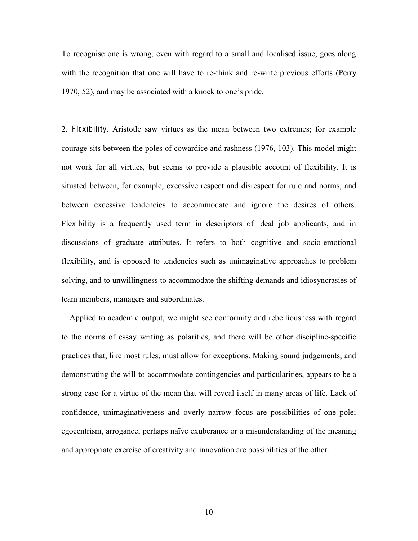To recognise one is wrong, even with regard to a small and localised issue, goes along with the recognition that one will have to re-think and re-write previous efforts (Perry 1970, 52), and may be associated with a knock to one's pride.

2. Flexibility. Aristotle saw virtues as the mean between two extremes; for example courage sits between the poles of cowardice and rashness (1976, 103). This model might not work for all virtues, but seems to provide a plausible account of flexibility. It is situated between, for example, excessive respect and disrespect for rule and norms, and between excessive tendencies to accommodate and ignore the desires of others. Flexibility is a frequently used term in descriptors of ideal job applicants, and in discussions of graduate attributes. It refers to both cognitive and socio-emotional flexibility, and is opposed to tendencies such as unimaginative approaches to problem solving, and to unwillingness to accommodate the shifting demands and idiosyncrasies of team members, managers and subordinates.

 Applied to academic output, we might see conformity and rebelliousness with regard to the norms of essay writing as polarities, and there will be other discipline-specific practices that, like most rules, must allow for exceptions. Making sound judgements, and demonstrating the will-to-accommodate contingencies and particularities, appears to be a strong case for a virtue of the mean that will reveal itself in many areas of life. Lack of confidence, unimaginativeness and overly narrow focus are possibilities of one pole; egocentrism, arrogance, perhaps naïve exuberance or a misunderstanding of the meaning and appropriate exercise of creativity and innovation are possibilities of the other.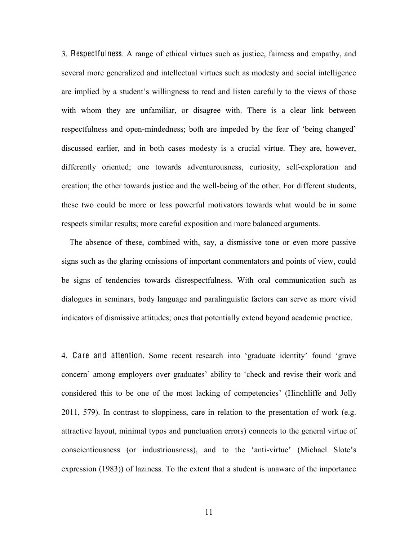3. Respectfulness. A range of ethical virtues such as justice, fairness and empathy, and several more generalized and intellectual virtues such as modesty and social intelligence are implied by a student's willingness to read and listen carefully to the views of those with whom they are unfamiliar, or disagree with. There is a clear link between respectfulness and open-mindedness; both are impeded by the fear of 'being changed' discussed earlier, and in both cases modesty is a crucial virtue. They are, however, differently oriented; one towards adventurousness, curiosity, self-exploration and creation; the other towards justice and the well-being of the other. For different students, these two could be more or less powerful motivators towards what would be in some respects similar results; more careful exposition and more balanced arguments.

 The absence of these, combined with, say, a dismissive tone or even more passive signs such as the glaring omissions of important commentators and points of view, could be signs of tendencies towards disrespectfulness. With oral communication such as dialogues in seminars, body language and paralinguistic factors can serve as more vivid indicators of dismissive attitudes; ones that potentially extend beyond academic practice.

4. Care and attention. Some recent research into 'graduate identity' found 'grave concern' among employers over graduates' ability to 'check and revise their work and considered this to be one of the most lacking of competencies' (Hinchliffe and Jolly 2011, 579). In contrast to sloppiness, care in relation to the presentation of work (e.g. attractive layout, minimal typos and punctuation errors) connects to the general virtue of conscientiousness (or industriousness), and to the 'anti-virtue' (Michael Slote's expression (1983)) of laziness. To the extent that a student is unaware of the importance

11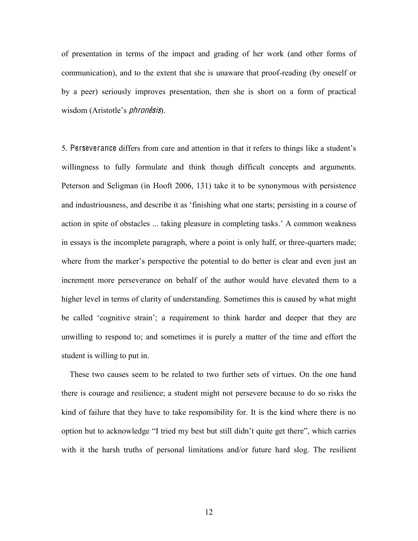of presentation in terms of the impact and grading of her work (and other forms of communication), and to the extent that she is unaware that proof-reading (by oneself or by a peer) seriously improves presentation, then she is short on a form of practical wisdom (Aristotle's *phronesis*).

5. Perseverance differs from care and attention in that it refers to things like a student's willingness to fully formulate and think though difficult concepts and arguments. Peterson and Seligman (in Hooft 2006, 131) take it to be synonymous with persistence and industriousness, and describe it as 'finishing what one starts; persisting in a course of action in spite of obstacles ... taking pleasure in completing tasks.' A common weakness in essays is the incomplete paragraph, where a point is only half, or three-quarters made; where from the marker's perspective the potential to do better is clear and even just an increment more perseverance on behalf of the author would have elevated them to a higher level in terms of clarity of understanding. Sometimes this is caused by what might be called 'cognitive strain'; a requirement to think harder and deeper that they are unwilling to respond to; and sometimes it is purely a matter of the time and effort the student is willing to put in.

 These two causes seem to be related to two further sets of virtues. On the one hand there is courage and resilience; a student might not persevere because to do so risks the kind of failure that they have to take responsibility for. It is the kind where there is no option but to acknowledge "I tried my best but still didn't quite get there", which carries with it the harsh truths of personal limitations and/or future hard slog. The resilient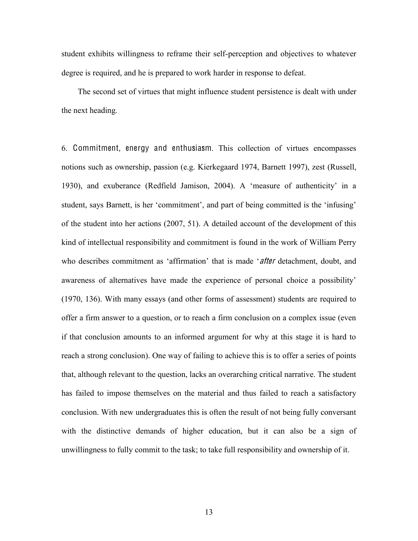student exhibits willingness to reframe their self-perception and objectives to whatever degree is required, and he is prepared to work harder in response to defeat.

 The second set of virtues that might influence student persistence is dealt with under the next heading.

6. Commitment, energy and enthusiasm. This collection of virtues encompasses notions such as ownership, passion (e.g. Kierkegaard 1974, Barnett 1997), zest (Russell, 1930), and exuberance (Redfield Jamison, 2004). A 'measure of authenticity' in a student, says Barnett, is her 'commitment', and part of being committed is the 'infusing' of the student into her actions (2007, 51). A detailed account of the development of this kind of intellectual responsibility and commitment is found in the work of William Perry who describes commitment as 'affirmation' that is made 'after detachment, doubt, and awareness of alternatives have made the experience of personal choice a possibility' (1970, 136). With many essays (and other forms of assessment) students are required to offer a firm answer to a question, or to reach a firm conclusion on a complex issue (even if that conclusion amounts to an informed argument for why at this stage it is hard to reach a strong conclusion). One way of failing to achieve this is to offer a series of points that, although relevant to the question, lacks an overarching critical narrative. The student has failed to impose themselves on the material and thus failed to reach a satisfactory conclusion. With new undergraduates this is often the result of not being fully conversant with the distinctive demands of higher education, but it can also be a sign of unwillingness to fully commit to the task; to take full responsibility and ownership of it.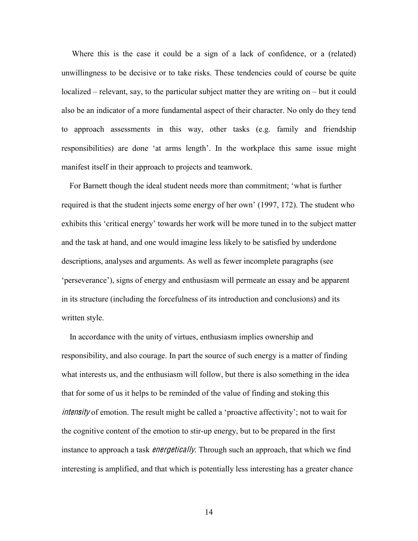Where this is the case it could be a sign of a lack of confidence, or a (related) unwillingness to be decisive or to take risks. These tendencies could of course be quite  $localized - relevant, say, to the particular subject matter they are writing on - but it could$ also be an indicator of a more fundamental aspect of their character. No only do they tend to approach assessments in this way, other tasks (e.g. family and friendship responsibilities) are done 'at arms length'. In the workplace this same issue might manifest itself in their approach to projects and teamwork.

For Barnett though the ideal student needs more than commitment; 'what is further required is that the student injects some energy of her own'  $(1997, 172)$ . The student who exhibits this 'critical energy' towards her work will be more tuned in to the subject matter and the task at hand, and one would imagine less likely to be satisfied by underdone descriptions, analyses and arguments. As well as fewer incomplete paragraphs (see 'perseverance'), signs of energy and enthusiasm will permeate an essay and be apparent in its structure (including the forcefulness of its introduction and conclusions) and its written style.

 In accordance with the unity of virtues, enthusiasm implies ownership and responsibility, and also courage. In part the source of such energy is a matter of finding what interests us, and the enthusiasm will follow, but there is also something in the idea that for some of us it helps to be reminded of the value of finding and stoking this intensity of emotion. The result might be called a 'proactive affectivity'; not to wait for the cognitive content of the emotion to stir-up energy, but to be prepared in the first instance to approach a task *energetically*. Through such an approach, that which we find interesting is amplified, and that which is potentially less interesting has a greater chance

14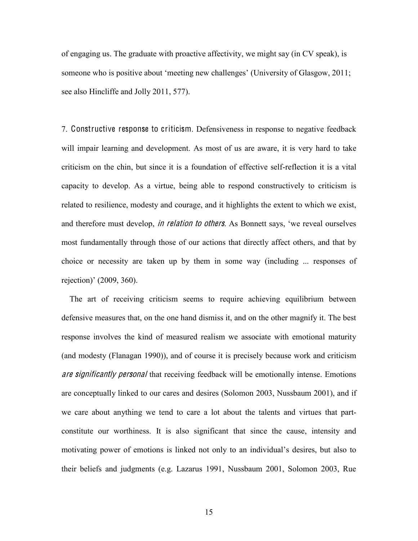of engaging us. The graduate with proactive affectivity, we might say (in CV speak), is someone who is positive about 'meeting new challenges' (University of Glasgow, 2011; see also Hincliffe and Jolly 2011, 577).

7. Constructive response to criticism. Defensiveness in response to negative feedback will impair learning and development. As most of us are aware, it is very hard to take criticism on the chin, but since it is a foundation of effective self-reflection it is a vital capacity to develop. As a virtue, being able to respond constructively to criticism is related to resilience, modesty and courage, and it highlights the extent to which we exist, and therefore must develop, *in relation to others*. As Bonnett says, 'we reveal ourselves most fundamentally through those of our actions that directly affect others, and that by choice or necessity are taken up by them in some way (including ... responses of rejection)' (2009, 360).

 The art of receiving criticism seems to require achieving equilibrium between defensive measures that, on the one hand dismiss it, and on the other magnify it. The best response involves the kind of measured realism we associate with emotional maturity (and modesty (Flanagan 1990)), and of course it is precisely because work and criticism are significantly personal that receiving feedback will be emotionally intense. Emotions are conceptually linked to our cares and desires (Solomon 2003, Nussbaum 2001), and if we care about anything we tend to care a lot about the talents and virtues that partconstitute our worthiness. It is also significant that since the cause, intensity and motivating power of emotions is linked not only to an individual's desires, but also to their beliefs and judgments (e.g. Lazarus 1991, Nussbaum 2001, Solomon 2003, Rue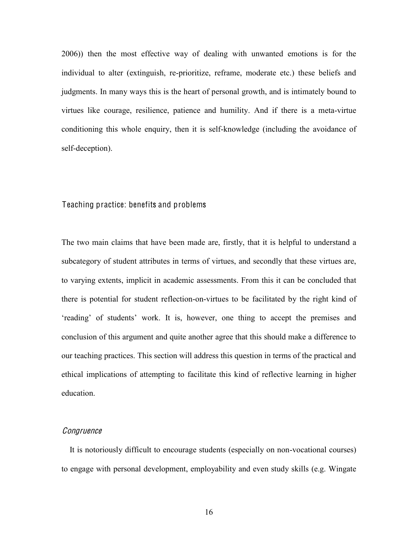2006)) then the most effective way of dealing with unwanted emotions is for the individual to alter (extinguish, re-prioritize, reframe, moderate etc.) these beliefs and judgments. In many ways this is the heart of personal growth, and is intimately bound to virtues like courage, resilience, patience and humility. And if there is a meta-virtue conditioning this whole enquiry, then it is self-knowledge (including the avoidance of self-deception).

#### Teaching practice: benefits and problems

The two main claims that have been made are, firstly, that it is helpful to understand a subcategory of student attributes in terms of virtues, and secondly that these virtues are, to varying extents, implicit in academic assessments. From this it can be concluded that there is potential for student reflection-on-virtues to be facilitated by the right kind of 'reading' of students' work. It is, however, one thing to accept the premises and conclusion of this argument and quite another agree that this should make a difference to our teaching practices. This section will address this question in terms of the practical and ethical implications of attempting to facilitate this kind of reflective learning in higher education.

### **Congruence**

 It is notoriously difficult to encourage students (especially on non-vocational courses) to engage with personal development, employability and even study skills (e.g. Wingate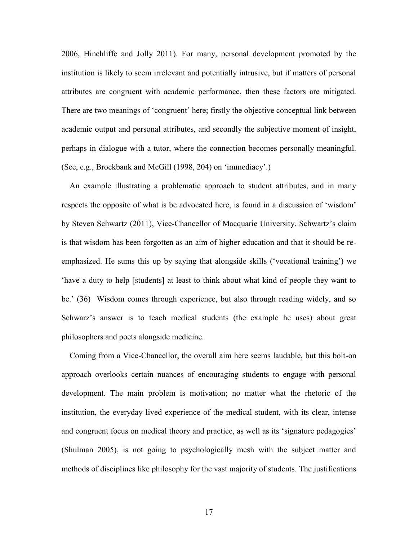2006, Hinchliffe and Jolly 2011). For many, personal development promoted by the institution is likely to seem irrelevant and potentially intrusive, but if matters of personal attributes are congruent with academic performance, then these factors are mitigated. There are two meanings of 'congruent' here; firstly the objective conceptual link between academic output and personal attributes, and secondly the subjective moment of insight, perhaps in dialogue with a tutor, where the connection becomes personally meaningful. (See, e.g., Brockbank and McGill (1998, 204) on 'immediacy'.)

 An example illustrating a problematic approach to student attributes, and in many respects the opposite of what is be advocated here, is found in a discussion of 'wisdom' by Steven Schwartz (2011), Vice-Chancellor of Macquarie University. Schwartz's claim is that wisdom has been forgotten as an aim of higher education and that it should be reemphasized. He sums this up by saying that alongside skills ('vocational training') we 'have a duty to help [students] at least to think about what kind of people they want to be.'  $(36)$  Wisdom comes through experience, but also through reading widely, and so Schwarz's answer is to teach medical students (the example he uses) about great philosophers and poets alongside medicine.

 Coming from a Vice-Chancellor, the overall aim here seems laudable, but this bolt-on approach overlooks certain nuances of encouraging students to engage with personal development. The main problem is motivation; no matter what the rhetoric of the institution, the everyday lived experience of the medical student, with its clear, intense and congruent focus on medical theory and practice, as well as its 'signature pedagogies' (Shulman 2005), is not going to psychologically mesh with the subject matter and methods of disciplines like philosophy for the vast majority of students. The justifications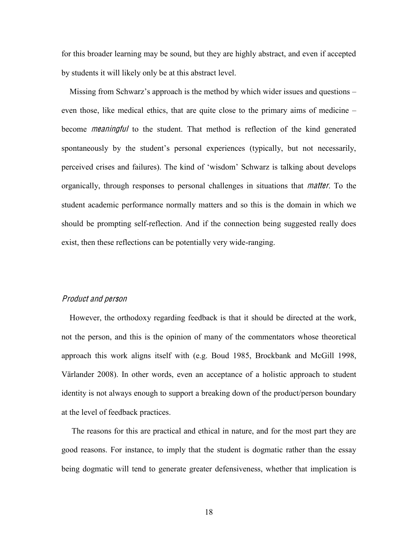for this broader learning may be sound, but they are highly abstract, and even if accepted by students it will likely only be at this abstract level.

Missing from Schwarz's approach is the method by which wider issues and questions  $$ even those, like medical ethics, that are quite close to the primary aims of medicine  $$ become m<sup>e</sup>aningful to the student. That method is reflection of the kind generated spontaneously by the student's personal experiences (typically, but not necessarily, perceived crises and failures). The kind of 'wisdom' Schwarz is talking about develops organically, through responses to personal challenges in situations that matter. To the student academic performance normally matters and so this is the domain in which we should be prompting self-reflection. And if the connection being suggested really does exist, then these reflections can be potentially very wide-ranging.

#### Product and person

 However, the orthodoxy regarding feedback is that it should be directed at the work, not the person, and this is the opinion of many of the commentators whose theoretical approach this work aligns itself with (e.g. Boud 1985, Brockbank and McGill 1998, Värlander 2008). In other words, even an acceptance of a holistic approach to student identity is not always enough to support a breaking down of the product/person boundary at the level of feedback practices.

 The reasons for this are practical and ethical in nature, and for the most part they are good reasons. For instance, to imply that the student is dogmatic rather than the essay being dogmatic will tend to generate greater defensiveness, whether that implication is

18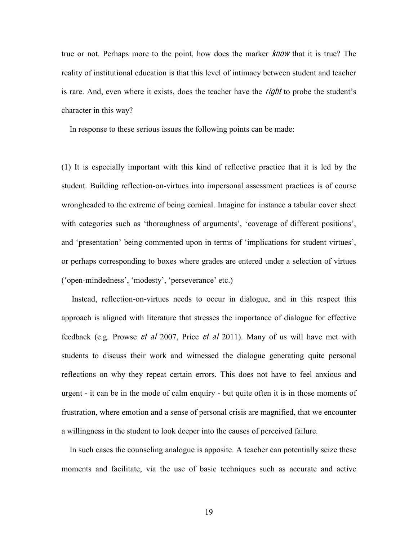true or not. Perhaps more to the point, how does the marker know that it is true? The reality of institutional education is that this level of intimacy between student and teacher is rare. And, even where it exists, does the teacher have the *right* to probe the student's character in this way?

In response to these serious issues the following points can be made:

(1) It is especially important with this kind of reflective practice that it is led by the student. Building reflection-on-virtues into impersonal assessment practices is of course wrongheaded to the extreme of being comical. Imagine for instance a tabular cover sheet with categories such as 'thoroughness of arguments', 'coverage of different positions', and 'presentation' being commented upon in terms of 'implications for student virtues', or perhaps corresponding to boxes where grades are entered under a selection of virtues ('open-mindedness', 'modesty', 'perseverance' etc.)

 Instead, reflection-on-virtues needs to occur in dialogue, and in this respect this approach is aligned with literature that stresses the importance of dialogue for effective feedback (e.g. Prowse  $et$  al 2007, Price  $et$  al 2011). Many of us will have met with students to discuss their work and witnessed the dialogue generating quite personal reflections on why they repeat certain errors. This does not have to feel anxious and urgent - it can be in the mode of calm enquiry - but quite often it is in those moments of frustration, where emotion and a sense of personal crisis are magnified, that we encounter a willingness in the student to look deeper into the causes of perceived failure.

 In such cases the counseling analogue is apposite. A teacher can potentially seize these moments and facilitate, via the use of basic techniques such as accurate and active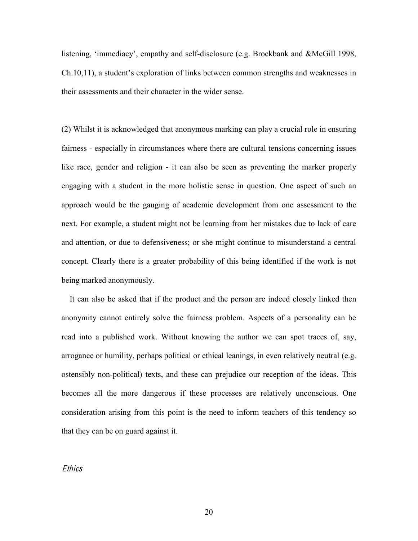listening, 'immediacy', empathy and self-disclosure (e.g. Brockbank and &McGill 1998, Ch.10,11), a student's exploration of links between common strengths and weaknesses in their assessments and their character in the wider sense.

(2) Whilst it is acknowledged that anonymous marking can play a crucial role in ensuring fairness - especially in circumstances where there are cultural tensions concerning issues like race, gender and religion - it can also be seen as preventing the marker properly engaging with a student in the more holistic sense in question. One aspect of such an approach would be the gauging of academic development from one assessment to the next. For example, a student might not be learning from her mistakes due to lack of care and attention, or due to defensiveness; or she might continue to misunderstand a central concept. Clearly there is a greater probability of this being identified if the work is not being marked anonymously.

 It can also be asked that if the product and the person are indeed closely linked then anonymity cannot entirely solve the fairness problem. Aspects of a personality can be read into a published work. Without knowing the author we can spot traces of, say, arrogance or humility, perhaps political or ethical leanings, in even relatively neutral (e.g. ostensibly non-political) texts, and these can prejudice our reception of the ideas. This becomes all the more dangerous if these processes are relatively unconscious. One consideration arising from this point is the need to inform teachers of this tendency so that they can be on guard against it.

#### **Ethics**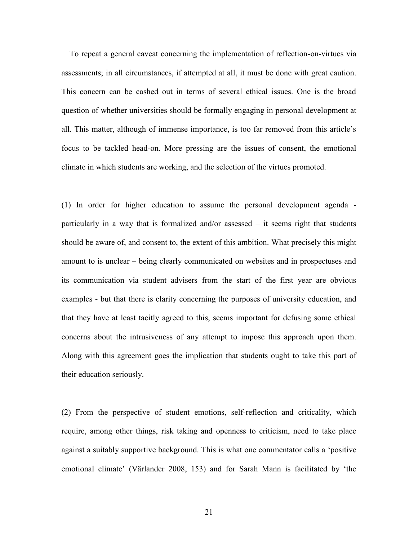To repeat a general caveat concerning the implementation of reflection-on-virtues via assessments; in all circumstances, if attempted at all, it must be done with great caution. This concern can be cashed out in terms of several ethical issues. One is the broad question of whether universities should be formally engaging in personal development at all. This matter, although of immense importance, is too far removed from this article's focus to be tackled head-on. More pressing are the issues of consent, the emotional climate in which students are working, and the selection of the virtues promoted.

(1) In order for higher education to assume the personal development agenda particularly in a way that is formalized and/or assessed  $-$  it seems right that students should be aware of, and consent to, the extent of this ambition. What precisely this might amount to is unclear – being clearly communicated on websites and in prospectuses and its communication via student advisers from the start of the first year are obvious examples - but that there is clarity concerning the purposes of university education, and that they have at least tacitly agreed to this, seems important for defusing some ethical concerns about the intrusiveness of any attempt to impose this approach upon them. Along with this agreement goes the implication that students ought to take this part of their education seriously.

(2) From the perspective of student emotions, self-reflection and criticality, which require, among other things, risk taking and openness to criticism, need to take place against a suitably supportive background. This is what one commentator calls a 'positive emotional climate' (Värlander 2008, 153) and for Sarah Mann is facilitated by 'the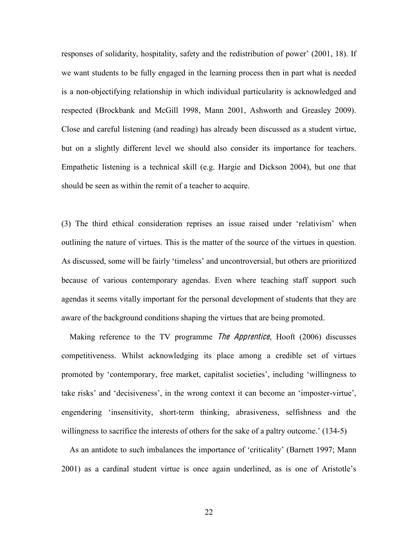responses of solidarity, hospitality, safety and the redistribution of power' (2001, 18). If we want students to be fully engaged in the learning process then in part what is needed is a non-objectifying relationship in which individual particularity is acknowledged and respected (Brockbank and McGill 1998, Mann 2001, Ashworth and Greasley 2009). Close and careful listening (and reading) has already been discussed as a student virtue, but on a slightly different level we should also consider its importance for teachers. Empathetic listening is a technical skill (e.g. Hargie and Dickson 2004), but one that should be seen as within the remit of a teacher to acquire.

(3) The third ethical consideration reprises an issue raised under 'relativism' when outlining the nature of virtues. This is the matter of the source of the virtues in question. As discussed, some will be fairly 'timeless' and uncontroversial, but others are prioritized because of various contemporary agendas. Even where teaching staff support such agendas it seems vitally important for the personal development of students that they are aware of the background conditions shaping the virtues that are being promoted.

Making reference to the TV programme *The Apprentice*, Hooft (2006) discusses competitiveness. Whilst acknowledging its place among a credible set of virtues promoted by 'contemporary, free market, capitalist societies', including 'willingness to take risks' and 'decisiveness', in the wrong context it can become an 'imposter-virtue', engendering 'insensitivity, short-term thinking, abrasiveness, selfishness and the willingness to sacrifice the interests of others for the sake of a paltry outcome.'  $(134-5)$ 

As an antidote to such imbalances the importance of 'criticality' (Barnett 1997; Mann 2001) as a cardinal student virtue is once again underlined, as is one of Aristotle's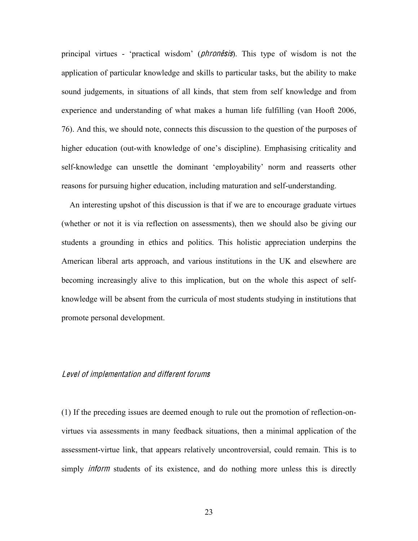principal virtues - 'practical wisdom' (*phronesis*). This type of wisdom is not the application of particular knowledge and skills to particular tasks, but the ability to make sound judgements, in situations of all kinds, that stem from self knowledge and from experience and understanding of what makes a human life fulfilling (van Hooft 2006, 76). And this, we should note, connects this discussion to the question of the purposes of higher education (out-with knowledge of one's discipline). Emphasising criticality and self-knowledge can unsettle the dominant 'employability' norm and reasserts other reasons for pursuing higher education, including maturation and self-understanding.

 An interesting upshot of this discussion is that if we are to encourage graduate virtues (whether or not it is via reflection on assessments), then we should also be giving our students a grounding in ethics and politics. This holistic appreciation underpins the American liberal arts approach, and various institutions in the UK and elsewhere are becoming increasingly alive to this implication, but on the whole this aspect of selfknowledge will be absent from the curricula of most students studying in institutions that promote personal development.

#### Level <sup>o</sup>f impl<sup>e</sup>mentation and different forum<sup>s</sup>

(1) If the preceding issues are deemed enough to rule out the promotion of reflection-onvirtues via assessments in many feedback situations, then a minimal application of the assessment-virtue link, that appears relatively uncontroversial, could remain. This is to simply *inform* students of its existence, and do nothing more unless this is directly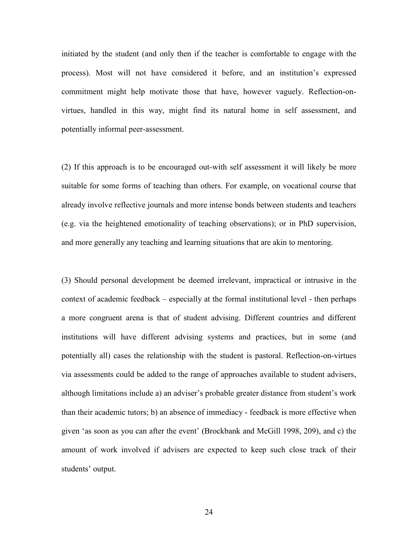initiated by the student (and only then if the teacher is comfortable to engage with the process). Most will not have considered it before, and an institution's expressed commitment might help motivate those that have, however vaguely. Reflection-onvirtues, handled in this way, might find its natural home in self assessment, and potentially informal peer-assessment.

(2) If this approach is to be encouraged out-with self assessment it will likely be more suitable for some forms of teaching than others. For example, on vocational course that already involve reflective journals and more intense bonds between students and teachers (e.g. via the heightened emotionality of teaching observations); or in PhD supervision, and more generally any teaching and learning situations that are akin to mentoring.

(3) Should personal development be deemed irrelevant, impractical or intrusive in the context of academic feedback  $-$  especially at the formal institutional level  $-$  then perhaps a more congruent arena is that of student advising. Different countries and different institutions will have different advising systems and practices, but in some (and potentially all) cases the relationship with the student is pastoral. Reflection-on-virtues via assessments could be added to the range of approaches available to student advisers, although limitations include a) an adviser's probable greater distance from student's work than their academic tutors; b) an absence of immediacy - feedback is more effective when given 'as soon as you can after the event' (Brockbank and McGill 1998, 209), and c) the amount of work involved if advisers are expected to keep such close track of their students' output.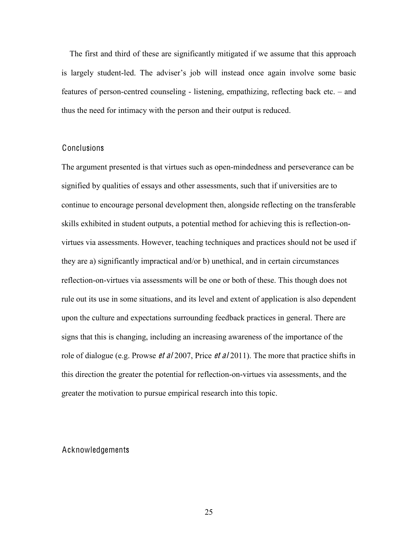The first and third of these are significantly mitigated if we assume that this approach is largely student-led. The adviser's job will instead once again involve some basic features of person-centred counseling - listening, empathizing, reflecting back etc.  $-\text{ and}$ thus the need for intimacy with the person and their output is reduced.

#### Conclusions

The argument presented is that virtues such as open-mindedness and perseverance can be signified by qualities of essays and other assessments, such that if universities are to continue to encourage personal development then, alongside reflecting on the transferable skills exhibited in student outputs, a potential method for achieving this is reflection-onvirtues via assessments. However, teaching techniques and practices should not be used if they are a) significantly impractical and/or b) unethical, and in certain circumstances reflection-on-virtues via assessments will be one or both of these. This though does not rule out its use in some situations, and its level and extent of application is also dependent upon the culture and expectations surrounding feedback practices in general. There are signs that this is changing, including an increasing awareness of the importance of the role of dialogue (e.g. Prowse *et al* 2007, Price *et al* 2011). The more that practice shifts in this direction the greater the potential for reflection-on-virtues via assessments, and the greater the motivation to pursue empirical research into this topic.

## Acknowledgements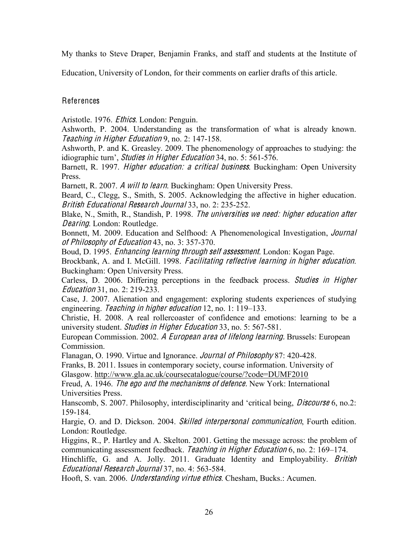My thanks to Steve Draper, Benjamin Franks, and staff and students at the Institute of

Education, University of London, for their comments on earlier drafts of this article.

## References

Aristotle. 1976. Ethic<sup>s</sup>. London: Penguin.

Ashworth, P. 2004. Understanding as the transformation of what is already known. Tea<sup>c</sup>hing in High<sup>e</sup><sup>r</sup> Education 9, no. 2: 147-158.

Ashworth, P. and K. Greasley. 2009. The phenomenology of approaches to studying: the idiographic turn', *Studies in Higher Education* 34, no. 5: 561-576.

Barnett, R. 1997. *Higher education: a critical business*. Buckingham: Open University Press.

Barnett, R. 2007. A will <sup>t</sup><sup>o</sup> learn. Buckingham: Open University Press.

Beard, C., Clegg, S., Smith, S. 2005. Acknowledging the affective in higher education. British Educational Research Journal 33, no. 2: 235-252.

Blake, N., Smith, R., Standish, P. 1998. Th<sup>e</sup> universitie<sup>s</sup> <sup>w</sup><sup>e</sup> <sup>n</sup>eed: high<sup>e</sup><sup>r</sup> <sup>e</sup>ducation <sup>a</sup>fte<sup>r</sup> Dearing. London: Routledge.

Bonnett, M. 2009. Education and Selfhood: A Phenomenological Investigation, Journal <sup>o</sup>f Philosophy <sup>o</sup>f Education 43, no. 3: 357-370.

Boud, D. 1995. Enhancing learning <sup>t</sup>hrough <sup>s</sup>elf <sup>a</sup>ssessmen<sup>t</sup>. London: Kogan Page.

Brockbank, A. and I. McGill. 1998. Facilitating reflective learning in higher education. Buckingham: Open University Press.

Carless, D. 2006. Differing perceptions in the feedback process. Studie<sup>s</sup> in High<sup>e</sup><sup>r</sup> Education 31, no. 2: 219-233.

Case, J. 2007. Alienation and engagement: exploring students experiences of studying engineering. Teaching in higher education  $12$ , no.  $1: 119-133$ .

Christie, H. 2008. A real rollercoaster of confidence and emotions: learning to be a university student. Studie<sup>s</sup> in High<sup>e</sup><sup>r</sup> Education 33, no. 5: 567-581.

European Commission. 2002. A Europ<sup>e</sup>an are<sup>a</sup> <sup>o</sup>f lifelong learning. Brussels: European Commission.

Flanagan, O. 1990. Virtue and Ignorance. Journal <sup>o</sup>f Philosophy 87: 420-428.

Franks, B. 2011. Issues in contemporary society, course information. University of Glasgow. http://www.gla.ac.uk/coursecatalogue/course/?code=DUMF2010

Freud, A. 1946. Th<sup>e</sup> <sup>e</sup>go and <sup>t</sup>h<sup>e</sup> <sup>m</sup>echanism<sup>s</sup> <sup>o</sup>f defence. New York: International Universities Press.

Hanscomb, S. 2007. Philosophy, interdisciplinarity and 'critical being, *Discourse* 6, no.2: 159-184.

Hargie, O. and D. Dickson. 2004. Skilled interpersonal <sup>c</sup>ommunication, Fourth edition. London: Routledge.

Higgins, R., P. Hartley and A. Skelton. 2001. Getting the message across: the problem of communicating assessment feedback. Teaching in Higher Education  $6$ , no. 2: 169–174.

Hinchliffe, G. and A. Jolly. 2011. Graduate Identity and Employability. *British* Educational Research Journal 37, no. 4: 563-584.

Hooft, S. van. 2006. Understanding virtu<sup>e</sup> <sup>e</sup>thic<sup>s</sup>. Chesham, Bucks.: Acumen.